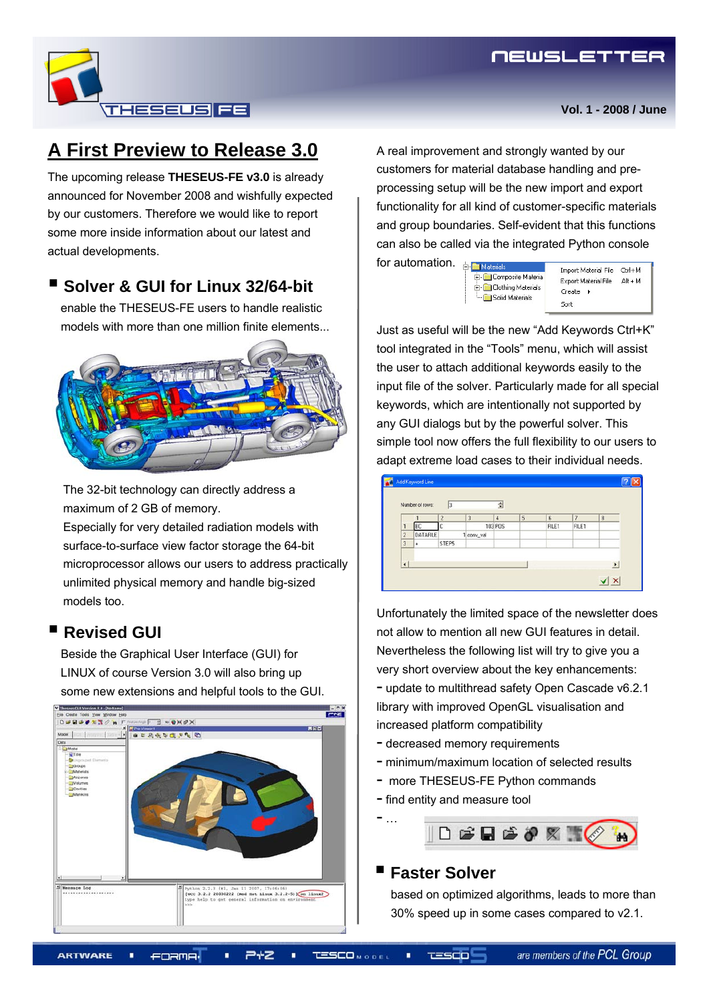

# **A First Preview to Release 3.0**

The upcoming release **THESEUS-FE v3.0** is already announced for November 2008 and wishfully expected by our customers. Therefore we would like to report some more inside information about our latest and actual developments.

## **Solver & GUI for Linux 32/64-bit**

enable the THESEUS-FE users to handle realistic models with more than one million finite elements...



The 32-bit technology can directly address a maximum of 2 GB of memory.

Especially for very detailed radiation models with surface-to-surface view factor storage the 64-bit microprocessor allows our users to address practically unlimited physical memory and handle big-sized models too.

## **Revised GUI**

Beside the Graphical User Interface (GUI) for LINUX of course Version 3.0 will also bring up some new extensions and helpful tools to the GUI.



A real improvement and strongly wanted by our customers for material database handling and preprocessing setup will be the new import and export functionality for all kind of customer-specific materials and group boundaries. Self-evident that this functions can also be called via the integrated Python console

for automation. **Fi-Finanticials** Composite Materia Clothing Materials Solid Materials

Import Material File Ctrl+M Export Material File Alt + M  $Create \rightarrow$ Sort

Just as useful will be the new "Add Keywords Ctrl+K" tool integrated in the "Tools" menu, which will assist the user to attach additional keywords easily to the input file of the solver. Particularly made for all special keywords, which are intentionally not supported by any GUI dialogs but by the powerful solver. This simple tool now offers the full flexibility to our users to adapt extreme load cases to their individual needs.

|                      | Number of rows: | 13             |            | 츨              |   |       |                |   |
|----------------------|-----------------|----------------|------------|----------------|---|-------|----------------|---|
|                      |                 | $\overline{2}$ | 3          | $\overline{4}$ | 5 | 6     | $\overline{7}$ | 8 |
| 1                    | BC              | r              |            | 103 PDS        |   | FILE1 | FILE1          |   |
| $\overline{c}$       | <b>DATAFILE</b> |                | 1 conv_val |                |   |       |                |   |
| $\overline{3}$       | ÷               | STEP5          |            |                |   |       |                |   |
| $\overline{\bullet}$ |                 |                |            |                |   |       |                | ٠ |

Unfortunately the limited space of the newsletter does not allow to mention all new GUI features in detail. Nevertheless the following list will try to give you a very short overview about the key enhancements: - update to multithread safety Open Cascade v6.2.1 library with improved OpenGL visualisation and increased platform compatibility

- decreased memory requirements
- minimum/maximum location of selected results
- more THESEUS-FE Python commands
- find entity and measure tool



#### **Faster Solver**

- …

based on optimized algorithms, leads to more than 30% speed up in some cases compared to v2.1.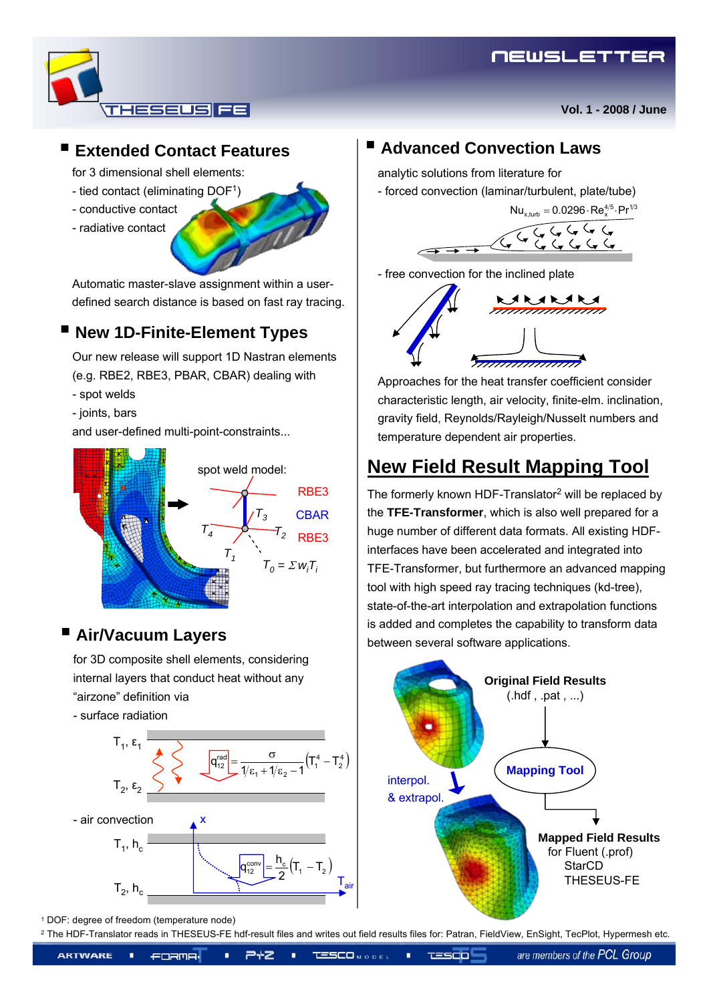**Vol. 1 - 2008 / June**



# **Extended Contact Features**

for 3 dimensional shell elements:

- tied contact (eliminating DOF1)
- conductive contact
- radiative contact

Automatic master-slave assignment within a userdefined search distance is based on fast ray tracing.

# **New 1D-Finite-Element Types**

Our new release will support 1D Nastran elements (e.g. RBE2, RBE3, PBAR, CBAR) dealing with

- spot welds
- joints, bars

and user-defined multi-point-constraints...



# **Air/Vacuum Layers**

for 3D composite shell elements, considering internal layers that conduct heat without any "airzone" definition via

- surface radiation



## **Advanced Convection Laws**

analytic solutions from literature for

- forced convection (laminar/turbulent, plate/tube)



- free convection for the inclined plate



Approaches for the heat transfer coefficient consider characteristic length, air velocity, finite-elm. inclination, gravity field, Reynolds/Rayleigh/Nusselt numbers and temperature dependent air properties.

# **New Field Result Mapping Tool**

The formerly known HDF-Translator2 will be replaced by the **TFE***-***Transformer**, which is also well prepared for a huge number of different data formats. All existing HDFinterfaces have been accelerated and integrated into TFE-Transformer, but furthermore an advanced mapping tool with high speed ray tracing techniques (kd-tree), state-of-the-art interpolation and extrapolation functions is added and completes the capability to transform data between several software applications.



<sup>1</sup> DOF: degree of freedom (temperature node)

<sup>2</sup> The HDF-Translator reads in THESEUS-FE hdf-result files and writes out field results files for: Patran, FieldView, EnSight, TecPlot, Hypermesh etc.

<u>TESCO</u>

**ARTWARE** ×. 245 ٠  $T = SCD$ **FORMA** 

are members of the PCL Group